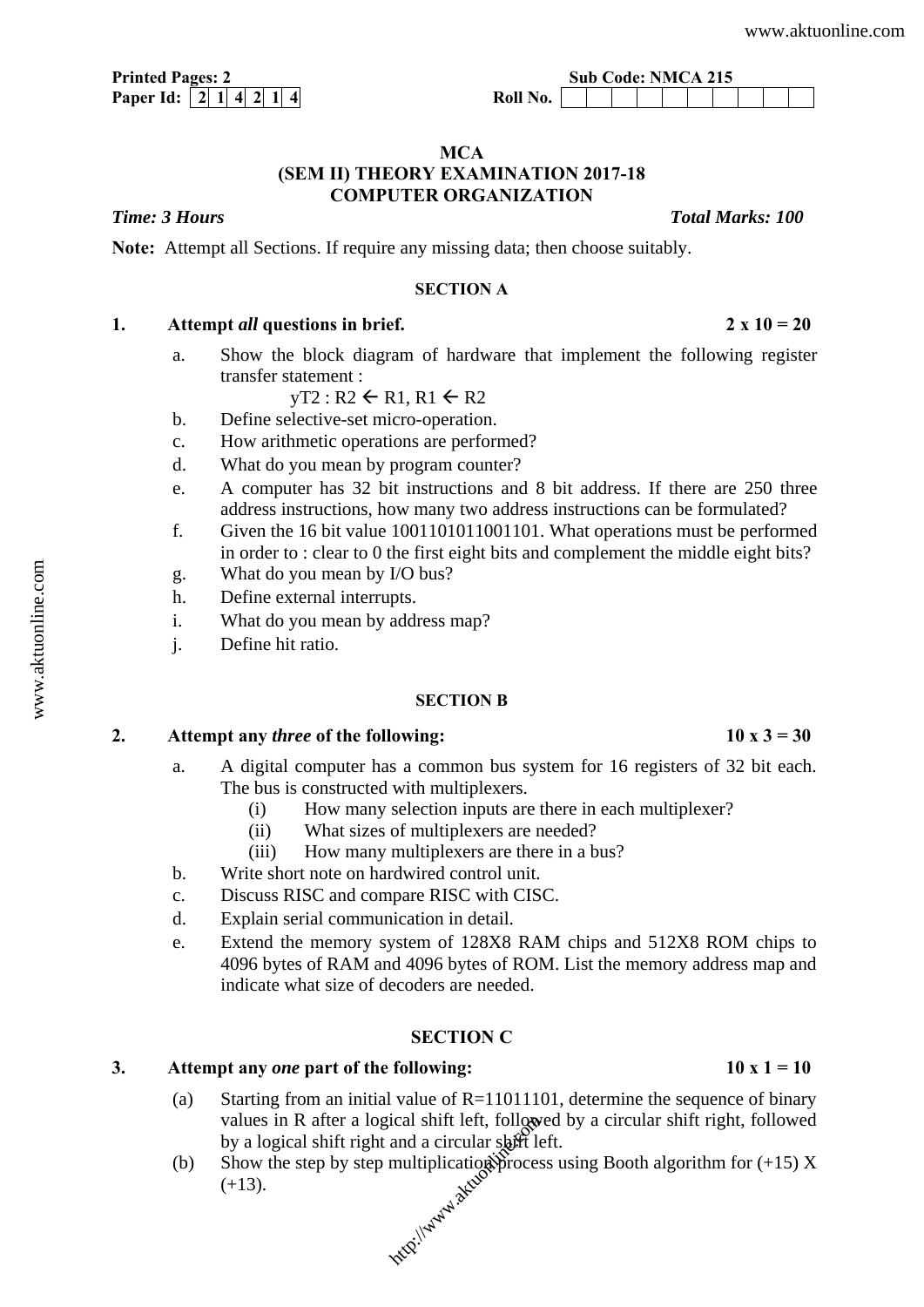| <b>Printed Pages: 2</b> |  |  |  |  |  |  |
|-------------------------|--|--|--|--|--|--|
|                         |  |  |  |  |  |  |

## **MCA (SEM II) THEORY EXAMINATION 2017-18 COMPUTER ORGANIZATION**

*Time: 3 Hours* The *Total Marks: 100* **Total Marks: 100** 

**Note:** Attempt all Sections. If require any missing data; then choose suitably.

## **SECTION A**

# 1. Attempt *all* questions in brief. 2  $\times$  10 = 20

a. Show the block diagram of hardware that implement the following register transfer statement :

 $yT2 : R2 \leftarrow R1, R1 \leftarrow R2$ 

- b. Define selective-set micro-operation.
- c. How arithmetic operations are performed?
- d. What do you mean by program counter?
- e. A computer has 32 bit instructions and 8 bit address. If there are 250 three address instructions, how many two address instructions can be formulated?
- f. Given the 16 bit value 1001101011001101. What operations must be performed in order to : clear to 0 the first eight bits and complement the middle eight bits?
- g. What do you mean by I/O bus?
- h. Define external interrupts.
- i. What do you mean by address map?
- j. Define hit ratio.

### **SECTION B**

# 2. Attempt any *three* of the following:  $10 \times 3 = 30$

- a. A digital computer has a common bus system for 16 registers of 32 bit each. The bus is constructed with multiplexers.
	- (i) How many selection inputs are there in each multiplexer?
	- (ii) What sizes of multiplexers are needed?
	- (iii) How many multiplexers are there in a bus?
- b. Write short note on hardwired control unit.
- c. Discuss RISC and compare RISC with CISC.
- d. Explain serial communication in detail.
- e. Extend the memory system of 128X8 RAM chips and 512X8 ROM chips to 4096 bytes of RAM and 4096 bytes of ROM. List the memory address map and indicate what size of decoders are needed.

### **SECTION C**

### 3. Attempt any *one* part of the following:  $10x1 = 10$

- (a) Starting from an initial value of  $R=11011101$ , determine the sequence of binary values in R after a logical shift left, followed by a circular shift right, followed by a logical shift right and a circular shift left.
- (b) Show the step by step multiplication process using Booth algorithm for  $(+15)$  X  $(+13)$ . rical shift left, follow<br>and a circular shift le<br>multiplication proces